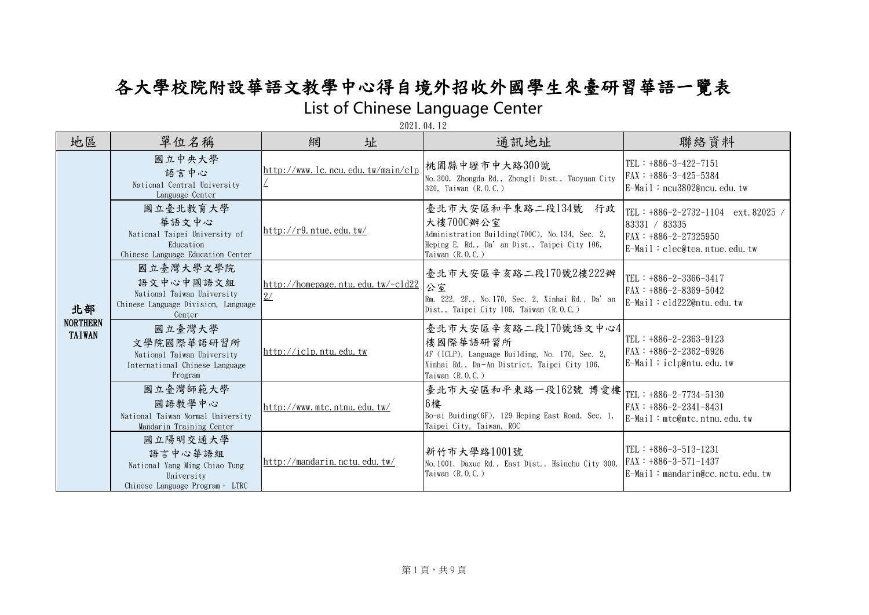## 各大學校院附設華語文教學中心得自境外招收外國學生來臺研習華語一覽表 List of Chinese Language Center

| 地區                                     | 單位名稱                                                                                                  | 網<br>址                                  | 通訊地址                                                                                                                                                          | 聯絡資料                                                                                                                   |
|----------------------------------------|-------------------------------------------------------------------------------------------------------|-----------------------------------------|---------------------------------------------------------------------------------------------------------------------------------------------------------------|------------------------------------------------------------------------------------------------------------------------|
| 北部<br><b>NORTHERN</b><br><b>TAIWAN</b> | 國立中央大學<br>語言中心<br>National Central University<br>Language Center                                      | http://www.lc.ncu.edu.tw/main/clp       | 桃園縣中壢市中大路300號<br>No. 300, Zhongda Rd., Zhongli Dist., Taoyuan City<br>320, Taiwan (R.O.C.)                                                                    | $TEL : +886-3-422-7151$<br>$FAX : +886-3-425-5384$<br>$E-Mail:ncu3802@ncu, edu, tw$                                    |
|                                        | 國立臺北教育大學<br>華語文中心<br>National Taipei University of<br>Education<br>Chinese Language Education Center  | http://r9. ntrue.edu.tw/                | 臺北市大安區和平東路二段134號 行政<br>大樓700C辦公室<br>Administration Building(700C), No. 134, Sec. 2,<br>Heping E. Rd., Da' an Dist., Taipei City 106,<br>Taiwan $(R, 0, C, )$  | TEL : $+886-2-2732-1104$<br>ext. 82025<br>83331 / 83335<br>$FAX : +886 - 2 - 27325950$<br>E-Mail: clec@tea.ntue.edu.tw |
|                                        | 國立臺灣大學文學院<br>語文中心中國語文組<br>National Taiwan University<br>Chinese Language Division, Language<br>Center | http://homepage.ntu.edu.tw/~cld22<br>2/ | 臺北市大安區辛亥路二段170號2樓222辦<br>公室<br>Rm. 222, 2F., No. 170, Sec. 2, Xinhai Rd., Da' an<br>Dist., Taipei City 106, Taiwan (R.O.C.)                                   | $ TEL : +886-2-3366-3417$<br>$FAX : +886-2-8369-5042$<br>$E-Mail : cld222@ntu$ , edu, tw                               |
|                                        | 國立臺灣大學<br>文學院國際華語研習所<br>National Taiwan University<br>International Chinese Language<br>Program       | http://iclp.ntu.edu,tw                  | 臺北市大安區辛亥路二段170號語文中心4<br>樓國際華語研習所<br>4F (ICLP), Language Building, No. 170, Sec. 2,<br>Xinhai Rd., Da-An District, Taipei City 106,<br>Taiwan $(R, 0, C, )$    | TEL : +886-2-2363-9123<br>$FAX : +886-2-2362-6926$<br>$E-Mail : iclp@ntu.$ edu. tw                                     |
|                                        | 國立臺灣師範大學<br>國語教學中心<br>National Taiwan Normal University<br>Mandarin Training Center                   | http://www.mtc.ntnu.edu.tw/             | 臺北市大安區和平東路一段162號 博愛樓 <br>  畫北市大安區和平東路一段162號 博愛樓  TEL : +886-2-7734-5130<br>6樓<br>Bo-ai Buiding(6F), 129 Heping East Road, Sec. 1,<br>Taipei City, Taiwan, ROC | $FAX : +886-2-2341-8431$<br>E-Mail: mtc@mtc.ntnu.edu.tw                                                                |
|                                        | 國立陽明交通大學<br>語言中心華語組<br>National Yang Ming Chiao Tung<br>University<br>Chinese Language Program, LTRC  | http://mandarin.nctu.edu.tw/            | 新竹市大學路1001號<br>No. 1001, Daxue Rd., East Dist., Hsinchu City 300, FAX: +886-3-571-1437<br>Taiwan $(R, 0, C, )$                                                | $TEL : +886-3-513-1231$<br>$E-Mail: mandarin@cc, nctu, edu, tw$                                                        |

2021.04.12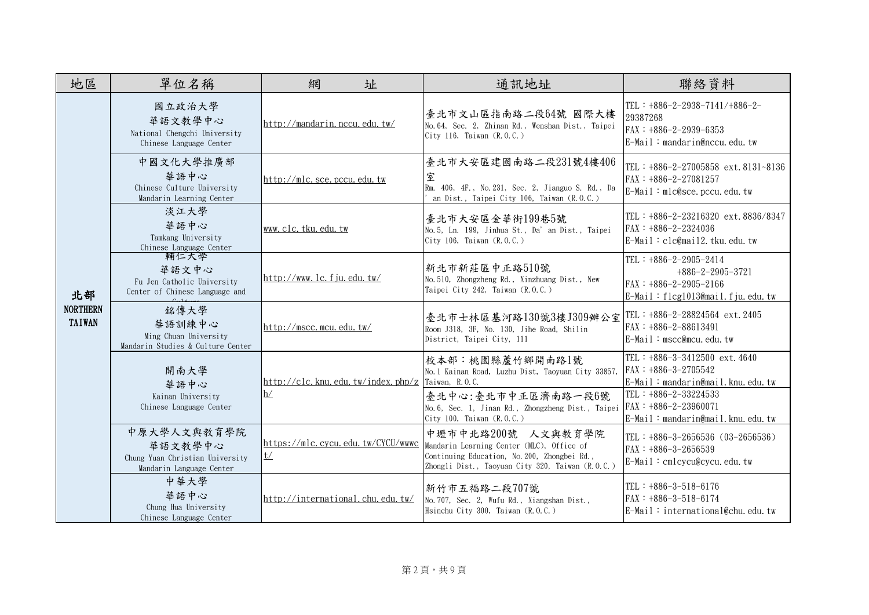| 地區                                     | 單位名稱                                                                                  | 網<br>址                                  | 通訊地址                                                                                                                                                                | 聯絡資料                                                                                                             |
|----------------------------------------|---------------------------------------------------------------------------------------|-----------------------------------------|---------------------------------------------------------------------------------------------------------------------------------------------------------------------|------------------------------------------------------------------------------------------------------------------|
| 北部<br><b>NORTHERN</b><br><b>TAIWAN</b> | 國立政治大學<br>華語文教學中心<br>National Chengchi University<br>Chinese Language Center          | http://mandarin.nccu.edu.tw/            | 臺北市文山區指南路二段64號 國際大樓<br>No. 64, Sec. 2, Zhinan Rd., Wenshan Dist., Taipei<br>City 116, Taiwan (R.O.C.)                                                               | TEL : $+886-2-2938-7141/+886-2-$<br>29387268<br>$FAX : +886-2-2939-6353$<br>$E-Mail: mandarin@nccu, edu, tw$     |
|                                        | 中國文化大學推廣部<br>華語中心<br>Chinese Culture University<br>Mandarin Learning Center           | http://mlc.sce.pccu.edu,tw              | 臺北市大安區建國南路二段231號4樓406<br>室<br>Rm. 406, 4F., No. 231, Sec. 2, Jianguo S. Rd., Da<br>an Dist., Taipei City 106, Taiwan (R.O.C.)                                       | TEL: +886-2-27005858 ext. 8131~8136<br>$FAX : +886-2-27081257$<br>E-Mail: mlc@sce.pccu.edu.tw                    |
|                                        | 淡江大學<br>華語中心<br>Tamkang University<br>Chinese Language Center                         | www.clc.tku.edu.tw                      | 臺北市大安區金華街199巷5號<br>No. 5, Ln. 199, Jinhua St., Da' an Dist., Taipei<br>City 106, Taiwan (R.O.C.)                                                                    | TEL: +886-2-23216320 ext. 8836/8347<br>$FAX : +886-2-2324036$<br>E-Mail: clc@mail2.tku.edu.tw                    |
|                                        | 輔仁大學<br>華語文中心<br>Fu Jen Catholic University<br>Center of Chinese Language and         | $\frac{http://www.1c.1iuedu.tw/}{$      | 新北市新莊區中正路510號<br>No. 510, Zhongzheng Rd., Xinzhuang Dist., New<br>Taipei City 242, Taiwan (R.O.C.)                                                                  | TEL: $+886-2-2905-2414$<br>$+886-2-2905-3721$<br>$FAX : +886-2-2905-2166$<br>E-Mail: flcg1013@mail. fju. edu. tw |
|                                        | 銘傳大學<br>華語訓練中心<br>Ming Chuan University<br>Mandarin Studies & Culture Center          | http://mscc.mcu.edu.tw/                 | 臺北市士林區基河路130號3樓J309辦公室<br>Room J318, 3F, No. 130, Jihe Road, Shilin<br>District, Taipei City, 111                                                                   | TEL : $+886-2-28824564$ ext. 2405<br>$FAX : +886-2-88613491$<br>$E-Mail : mscc@mcu, edu, tw$                     |
|                                        | 開南大學<br>華語中心                                                                          | http://clc.knu.edu,tw/index.php/z       | 校本部:桃園縣蘆竹鄉開南路1號<br>No. 1 Kainan Road, Luzhu Dist, Taoyuan City 33857,<br>Taiwan, R.O.C.                                                                             | TEL : $+886-3-3412500$ ext. 4640<br>$FRX : +886-3-2705542$<br>E-Mail: mandarin@mail.knu.edu.tw                   |
|                                        | Kainan University<br>Chinese Language Center                                          | h/                                      | 臺北中心:臺北市中正區濟南路一段6號<br>No. 6, Sec. 1, Jinan Rd., Zhongzheng Dist., Taipei<br>City 100, Taiwan (R.O.C.)                                                               | TEL: $+886-2-33224533$<br>$FAX : +886-2-23960071$<br>E-Mail: mandarin@mail.knu.edu.tw                            |
|                                        | 中原大學人文與教育學院<br>華語文教學中心<br>Chung Yuan Christian University<br>Mandarin Language Center | https://mlc.cycu.edu.tw/CYCU/wwwc<br>t/ | 中壢市中北路200號 人文與教育學院<br>Mandarin Learning Center (MLC), Office of<br>Continuing Education, No. 200, Zhongbei Rd.,<br>Zhongli Dist., Taoyuan City 320, Taiwan (R.O.C.) | TEL : $+886-3-2656536$ (03-2656536)<br>$FAX : +886-3-2656539$<br>E-Mail: cmlcycu@cycu.edu.tw                     |
|                                        | 中華大學<br>華語中心<br>Chung Hua University<br>Chinese Language Center                       | http://international.chu.edu.tw/        | 新竹市五福路二段707號<br>No. 707, Sec. 2, Wufu Rd., Xiangshan Dist.,<br>Hsinchu City 300, Taiwan (R.O.C.)                                                                    | TEL : $+886-3-518-6176$<br>FAX: +886-3-518-6174<br>E-Mail: international@chu.edu.tw                              |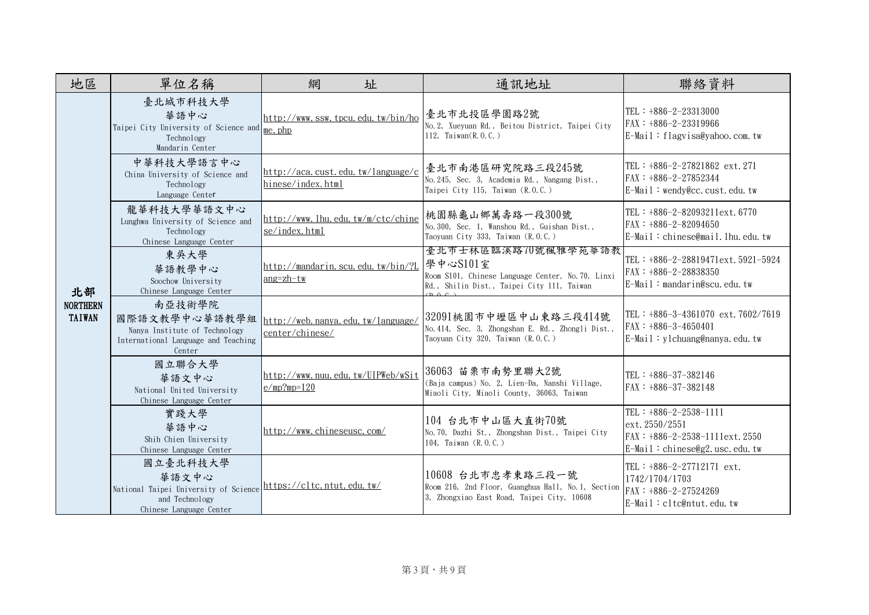| 地區                               | 單位名稱                                                                                                      | 網<br>址                                                 | 通訊地址                                                                                                                               | 聯絡資料                                                                                                          |
|----------------------------------|-----------------------------------------------------------------------------------------------------------|--------------------------------------------------------|------------------------------------------------------------------------------------------------------------------------------------|---------------------------------------------------------------------------------------------------------------|
|                                  | 臺北城市科技大學<br>華語中心<br>Taipei City University of Science and me. php<br>Technology<br>Mandarin Center        | http://www.ssw.tpcu.edu.tw/bin/ho                      | 臺北市北投區學園路2號<br>No. 2, Xueyuan Rd., Beitou District, Taipei City<br>112, Taiwan(R.O.C.)                                             | TEL : $+886-2-23313000$<br>$FAX : +886 - 2 - 23319966$<br>$E-Mail : flagvisa@yahoo$ . com. tw                 |
|                                  | 中華科技大學語言中心<br>China University of Science and<br>Technology<br>Language Center                            | http://aca.cust.edu.tw/language/c<br>hinese/index.html | 臺北市南港區研究院路三段245號<br>No. 245, Sec. 3, Academia Rd., Nangang Dist.,<br>Taipei City 115, Taiwan (R.O.C.)                              | TEL : $+886-2-27821862$ ext. 271<br>FAX: +886-2-27852344<br>$E$ -Mail: wendy@cc.cust.edu.tw                   |
|                                  | 龍華科技大學華語文中心<br>Lunghwa University of Science and<br>Technology<br>Chinese Language Center                 | http://www.lhu.edu.tw/m/ctc/chine<br>se/index.html     | 桃園縣龜山鄉萬壽路一段300號<br>No. 300, Sec. 1, Wanshou Rd., Guishan Dist.,<br>Taoyuan City 333, Taiwan (R.O.C.)                               | TEL: +886-2-82093211ext.6770<br>FAX: +886-2-82094650<br>E-Mail: chinese@mail.lhu.edu.tw                       |
| 北部                               | 東吳大學<br>華語教學中心<br>Soochow University<br>Chinese Language Center                                           | http://mandarin.scu.edu.tw/bin/?L<br>$ang=zh-tw$       | 量北市士林區臨溪路70號楓雅學苑華語教<br>學中心S101室<br>Room S101, Chinese Language Center, No. 70, Linxi<br>Rd., Shilin Dist., Taipei City 111, Taiwan | TEL: +886-2-28819471ext.5921-5924<br>FAX: +886-2-28838350<br>E-Mail: mandarin@scu.edu.tw                      |
| <b>NORTHERN</b><br><b>TAIWAN</b> | 南亞技術學院<br>國際語文教學中心華語教學組<br>Nanya Institute of Technology<br>International Language and Teaching<br>Center | http://web.nanya.edu.tw/language/<br>center/chinese/   | 32091桃園市中壢區中山東路三段414號<br>No. 414, Sec. 3, Zhongshan E. Rd., Zhongli Dist.,<br>Taoyuan City 320, Taiwan (R.O.C.)                    | TEL : $+886-3-4361070$ ext. 7602/7619<br>$FAX : +886-3-4650401$<br>$E-Mail : y1$ chuang@nanya.edu.tw          |
|                                  | 國立聯合大學<br>華語文中心<br>National United University<br>Chinese Language Center                                  | http://www.nuu.edu.tw/UIPWeb/wSit<br>$e/mp?mp=120$     | 36063 苗栗市南勢里聯大2號<br>(Baja campus) No. 2, Lien-Da, Nanshi Village,<br>Miaoli City, Miaoli County, 36063, Taiwan                     | TEL : $+886-37-382146$<br>$FAX : +886-37-382148$                                                              |
|                                  | 實踐大學<br>華語中心<br>Shih Chien University<br>Chinese Language Center                                          | http://www.chineseusc.com/                             | 104 台北市中山區大直街70號<br>No. 70, Dazhi St., Zhongshan Dist., Taipei City<br>104, Taiwan (R.O.C.)                                        | TEL: $+886-2-2538-1111$<br>ext. 2550/2551<br>FAX: $+886-2-2538-1111ext.2550$<br>E-Mail: chinese@g2.usc.edu.tw |
|                                  | 國立臺北科技大學<br>華語文中心<br>National Taipei University of Science<br>and Technology<br>Chinese Language Center   | https://cltc.ntut.edu.tw/                              | 10608 台北市忠孝東路三段一號<br>Room 216, 2nd Floor, Guanghua Hall, No.1, Section<br>3, Zhongxiao East Road, Taipei City, 10608               | TEL : $+886-2-27712171$ ext.<br>1742/1704/1703<br>$FAX: +886-2-27524269$<br>E-Mail: cltc@ntut.edu.tw          |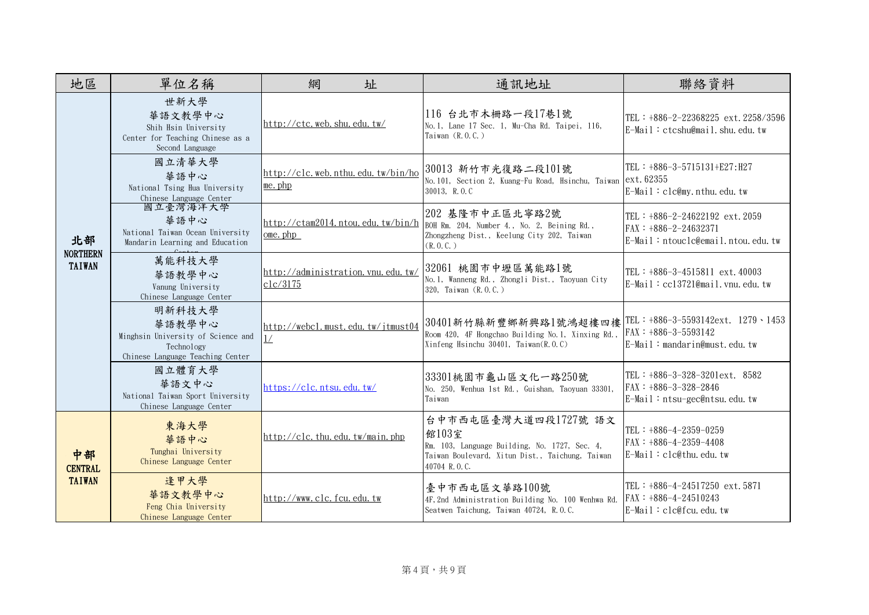| 地區                                     | 單位名稱                                                                                                     | 網<br>址                                             | 通訊地址                                                                                                                                              | 聯絡資料                                                                                                         |
|----------------------------------------|----------------------------------------------------------------------------------------------------------|----------------------------------------------------|---------------------------------------------------------------------------------------------------------------------------------------------------|--------------------------------------------------------------------------------------------------------------|
| 北部<br><b>NORTHERN</b><br><b>TAIWAN</b> | 世新大學<br>華語文教學中心<br>Shih Hsin University<br>Center for Teaching Chinese as a<br>Second Language           | http://ctc.web.shu.edu.tw/                         | 116 台北市木栅路一段17巷1號<br>No. 1, Lane 17 Sec. 1, Mu-Cha Rd. Taipei, 116,<br>Taiwan $(R, 0, C, )$                                                       | TEL: +886-2-22368225 ext. 2258/3596<br>E-Mail: ctcshu@mail.shu.edu.tw                                        |
|                                        | 國立清華大學<br>華語中心<br>National Tsing Hua University<br>Chinese Language Center                               | http://clc.web.nthu.edu.tw/bin/ho<br>me. php       | 30013 新竹市光復路二段101號<br>No. 101, Section 2, Kuang-Fu Road, Hsinchu, Taiwan ext. 62355<br>30013, R.O.C                                               | TEL: +886-3-5715131+E27:H27<br>$E-Mail : clc@my.$ nthu. edu. tw                                              |
|                                        | 國立臺灣海洋大學<br>華語中心<br>National Taiwan Ocean University<br>Mandarin Learning and Education                  | http://ctam2014.ntou.edu.tw/bin/h<br>$ome$ , $php$ | 202 基隆市中正區北寧路2號<br>BOH Rm. 204, Number 4., No. 2, Beining Rd.,<br>Zhongzheng Dist., Keelung City 202, Taiwan<br>(R, 0, C, )                       | TEL: $+886-2-24622192$ ext. 2059<br>$FAX : +886 - 2 - 24632371$<br>E-Mail: ntouclc@email.ntou.edu.tw         |
|                                        | 萬能科技大學<br>華語教學中心<br>Vanung University<br>Chinese Language Center                                         | http://administration.vnu.edu.tw/<br>clc/3175      | 32061 桃園市中壢區萬能路1號<br>No.1, Wanneng Rd., Zhongli Dist., Taoyuan City<br>320, Taiwan (R.O.C.)                                                       | TEL : $+886-3-4515811$ ext. 40003<br>$E-Mail : cc13721@mail.vnu.edu.tw$                                      |
|                                        | 明新科技大學<br>華語教學中心<br>Minghsin University of Science and<br>Technology<br>Chinese Language Teaching Center | http://webcl.must.edu.tw/jtmust04<br>1/            | 30401新竹縣新豐鄉新興路1號鴻超樓四樓<br>Room 420, 4F Hongchao Building No.1, Xinxing Rd.,<br>Xinfeng Hsinchu 30401, Taiwan $(R, 0, C)$                           | TEL : $+886-3-5593142 \text{ext}$ . 1279 · 1453<br>$FAX : +886-3-5593142$<br>$E-Mail: mandarin@must.edu$ .tw |
|                                        | 國立體育大學<br>華語文中心<br>National Taiwan Sport University<br>Chinese Language Center                           | https://clc.ntsu.edu.tw/                           | 33301桃園市龜山區文化一路250號<br>No. 250, Wenhua 1st Rd., Guishan, Taoyuan 33301,<br>Taiwan                                                                 | TEL : $+886-3-328-3201ext$ . 8582<br>$FAX : +886-3-328-2846$<br>$E$ -Mail: ntsu-gec@ntsu.edu.tw              |
| 中部<br><b>CENTRAL</b><br><b>TAIWAN</b>  | 東海大學<br>華語中心<br>Tunghai University<br>Chinese Language Center                                            | http://clc.thu.edu.tw/main.php                     | 台中市西屯區臺灣大道四段1727號 語文<br>館103室<br>Rm. 103, Language Building, No. 1727, Sec. 4,<br>Taiwan Boulevard, Xitun Dist., Taichung, Taiwan<br>40704 R.O.C. | TEL : $+886-4-2359-0259$<br>$FAX : +886-4-2359-4408$<br>E-Mail: clc@thu.edu.tw                               |
|                                        | 逢甲大學<br>華語文教學中心<br>Feng Chia University<br>Chinese Language Center                                       | http://www.clc.fcu.edu.tw                          | 臺中市西屯區文華路100號<br>4F, 2nd Administration Building No. 100 Wenhwa Rd.<br>Seatwen Taichung, Taiwan 40724, R.O.C.                                     | TEL : $+886-4-24517250$ ext. 5871<br>$FAX : +886-4-24510243$<br>$E-Mail : clc@fcu.$ edu. tw                  |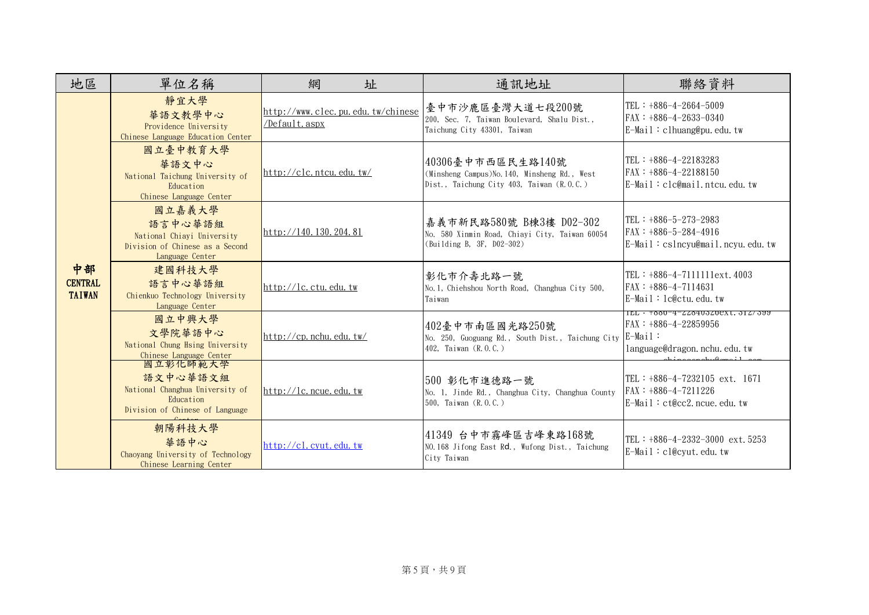| 地區                                    | 單位名稱                                                                                                    | 網<br>址                                             | 通訊地址                                                                                                            | 聯絡資料                                                                                                     |
|---------------------------------------|---------------------------------------------------------------------------------------------------------|----------------------------------------------------|-----------------------------------------------------------------------------------------------------------------|----------------------------------------------------------------------------------------------------------|
|                                       | 靜宜大學<br>華語文教學中心<br>Providence University<br>Chinese Language Education Center                           | http://www.clec.pu.edu.tw/chinese<br>/Default.aspx | 臺中市沙鹿區臺灣大道七段200號<br>200, Sec. 7, Taiwan Boulevard, Shalu Dist.,<br>Taichung City 43301, Taiwan                  | TEL: $+886-4-2664-5009$<br>$FAX : +886-4-2633-0340$<br>E-Mail: clhuang@pu.edu.tw                         |
| 中部<br><b>CENTRAL</b><br><b>TAIWAN</b> | 國立臺中教育大學<br>華語文中心<br>National Taichung University of<br>Education<br>Chinese Language Center            | http://clc.ntcu.edu.tw/                            | 40306臺中市西區民生路140號<br>(Minsheng Campus) No. 140, Minsheng Rd., West<br>Dist., Taichung City 403, Taiwan (R.O.C.) | TEL: $+886-4-22183283$<br>FAX: +886-4-22188150<br>$E$ -Mail: $clc@mail.ntcu.$ edu.tw                     |
|                                       | 國立嘉義大學<br>語言中心華語組<br>National Chiayi University<br>Division of Chinese as a Second<br>Language Center   | http://140.130.204.81                              | 嘉義市新民路580號 B棟3樓 D02-302<br>No. 580 Xinmin Road, Chiayi City, Taiwan 60054<br>(Building B, 3F, D02-302)          | TEL : $+886-5-273-2983$<br>$FAX : +886-5-284-4916$<br>$E-Mail : cslncyu@mail.ncyu.edu.$                  |
|                                       | 建國科技大學<br>語言中心華語組<br>Chienkuo Technology University<br>Language Center                                  | http://lc.ctu.edu.tw                               | 彰化市介壽北路一號<br>No. 1, Chiehshou North Road, Changhua City 500,<br>Taiwan                                          | TEL : $+886-4-71111111 \text{ext}$ . 4003<br>$FAX : +886-4-7114631$<br>$E-Mail : le@ctu$ , edu, tw       |
|                                       | 國立中興大學<br>文學院華語中心<br>National Chung Hsing University<br>Chinese Language Center                         | http://cp.nchu.edu.tw/                             | 402臺中市南區國光路250號<br>No. 250, Guoguang Rd., South Dist., Taichung City<br>402, Taiwan (R.O.C.)                    | ILL · +000-4-440400400XL.014/099<br>$FAX : +886-4-22859956$<br>$E-Mail$ :<br>language@dragon.nchu.edu.tw |
|                                       | 國立彰化師範大學<br>語文中心華語文組<br>National Changhua University of<br>Education<br>Division of Chinese of Language | http://lc.ncue.edu.tw                              | 500 彰化市進德路一號<br>No. 1, Jinde Rd., Changhua City, Changhua County<br>500, Taiwan (R.O.C.)                        | TEL: $+886-4-7232105$ ext. 1671<br>$FAX : +886-4-7211226$<br>E-Mail: ct@cc2.ncue.edu.tw                  |
|                                       | 朝陽科技大學<br>華語中心<br>Chaoyang University of Technology<br>Chinese Learning Center                          | http://cl.cvut.edu,tw                              | 41349 台中市霧峰區吉峰東路168號<br>NO. 168 Jifong East Rd., Wufong Dist., Taichung<br>City Taiwan                          | TEL: $+886-4-2332-3000$ ext. 5253<br>E-Mail: cl@cyut.edu.tw                                              |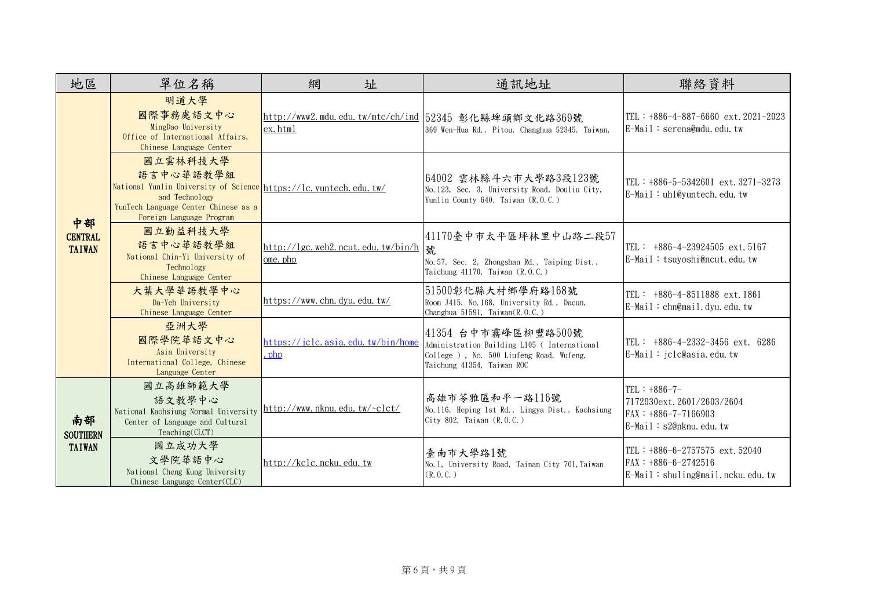| 地區                                     | 單位名稱                                                                                                                                                                            | 網<br>址                                        | 通訊地址                                                                                                                                          | 聯絡資料                                                                                                |
|----------------------------------------|---------------------------------------------------------------------------------------------------------------------------------------------------------------------------------|-----------------------------------------------|-----------------------------------------------------------------------------------------------------------------------------------------------|-----------------------------------------------------------------------------------------------------|
| 中部<br><b>CENTRAL</b><br><b>TAIWAN</b>  | 明道大學<br>國際事務處語文中心<br>MingDao University<br>Office of International Affairs.<br>Chinese Language Center                                                                          | ex.html                                       | http://www2.mdu.edu.tw/mtc/ch/ind  52345 彰化縣埤頭鄉文化路369號<br>369 Wen-Hua Rd., Pitou, Changhua 52345, Taiwan,                                     | TEL : $+886-4-887-6660$ ext. $2021-2023$<br>$E-Mail : serena@mdu, edu, tw$                          |
|                                        | 國立雲林科技大學<br>語言中心華語教學組<br>National Yunlin University of Science https://lc.yuntech.edu.tw/<br>and Technology<br>YunTech Language Center Chinese as a<br>Foreign Language Program |                                               | 64002 雲林縣斗六市大學路3段123號<br>No. 123, Sec. 3, University Road, Douliu City,<br>Yunlin County 640, Taiwan (R.O.C.)                                 | TEL : $+886-5-5342601$ ext. 3271-3273<br>$E$ -Mail: uhl@yuntech.edu.tw                              |
|                                        | 國立勤益科技大學<br>語言中心華語教學組<br>National Chin-Yi University of<br>Technology<br>Chinese Language Center                                                                                | http://lgc.web2.ncut.edu.tw/bin/h<br>ome, php | 41170臺中市太平區坪林里中山路二段57<br>號<br>No. 57, Sec. 2, Zhongshan Rd., Taiping Dist.,<br>Taichung $41170$ , Taiwan $(R, 0, C, )$                        | TEL : $+886-4-23924505$ ext. 5167<br>E-Mail: tsuyoshi@ncut.edu.tw                                   |
|                                        | 大葉大學華語教學中心<br>Da-Yeh University<br>Chinese Language Center                                                                                                                      | https://www.chn.dyu.edu.tw/                   | 51500彰化縣大村鄉學府路168號<br>Room J415, No. 168, University Rd., Dacun,<br>Changhua 51591, Taiwan(R.O.C.)                                            | TEL : $+886-4-8511888$ ext. 1861<br>$E-Mail:chn@mail.dyu.edu.tw$                                    |
|                                        | 亞洲大學<br>國際學院華語文中心<br>Asia University<br>International College, Chinese<br>Language Center                                                                                       | https://jclc.asia.edu.tw/bin/home<br>. php    | 41354 台中市霧峰區柳豐路500號<br>Administration Building L105 ( International<br>College ), No. 500 Liufeng Road, Wufeng,<br>Taichung 41354, Taiwan ROC | TEL: $+886-4-2332-3456$ ext. 6286<br>E-Mail: jclc@asia.edu.tw                                       |
| 南部<br><b>SOUTHERN</b><br><b>TAIWAN</b> | 國立高雄師範大學<br>語文教學中心<br>National Kaohsiung Normal University<br>Center of Language and Cultural<br>Teaching(CLCT)                                                                 | http://www.nknu.edu.tw/~clct/                 | 高雄市苓雅區和平一路116號<br>No. 116, Heping 1st Rd., Lingya Dist., Kaohsiung<br>City 802, Taiwan (R.O.C.)                                               | TEL: $+886-7-$<br>7172930ext. 2601/2603/2604<br>$FAX : +886-7-7166903$<br>$E$ -Mail: s2@nknu.edu.tw |
|                                        | 國立成功大學<br>文學院華語中心<br>National Cheng Kung University<br>Chinese Language Center(CLC)                                                                                             | http://kclc.ncku.edu.tw                       | 臺南市大學路1號<br>No. 1, University Road, Tainan City 701, Taiwan<br>(R, 0, C, )                                                                    | TEL : $+886-6-2757575$ ext. 52040<br>$FAX : +886-6-2742516$<br>E-Mail: shuling@mail.ncku.edu.tw     |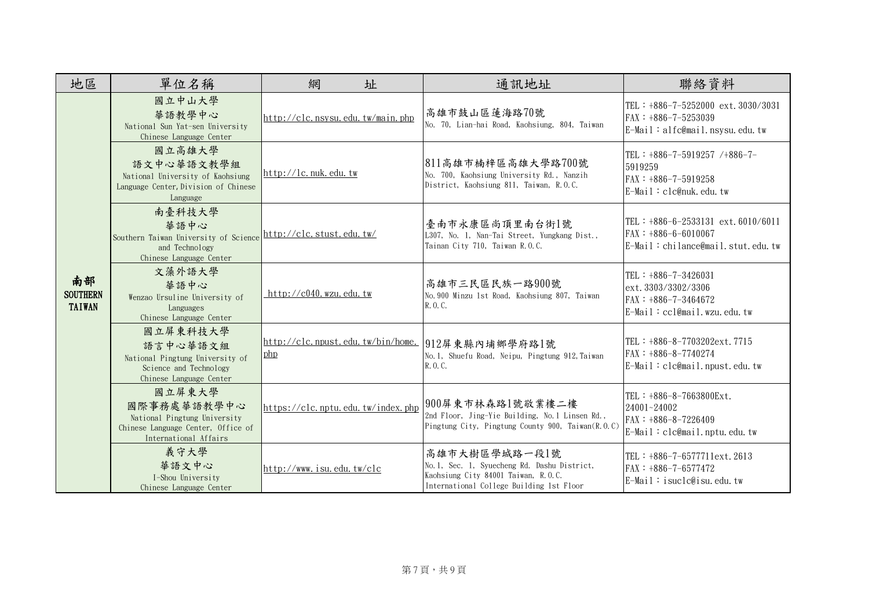| 地區                                     | 單位名稱                                                                                                                          | 網<br>址                            | 通訊地址                                                                                                                                             | 聯絡資料                                                                                                    |
|----------------------------------------|-------------------------------------------------------------------------------------------------------------------------------|-----------------------------------|--------------------------------------------------------------------------------------------------------------------------------------------------|---------------------------------------------------------------------------------------------------------|
| 南部<br><b>SOUTHERN</b><br><b>TAIWAN</b> | 國立中山大學<br>華語教學中心<br>National Sun Yat-sen University<br>Chinese Language Center                                                | http://clc.nsysu.edu.tw/main.php  | 高雄市鼓山區蓮海路70號<br>No. 70, Lian-hai Road, Kaohsiung, 804, Taiwan                                                                                    | TEL: +886-7-5252000 ext. 3030/3031<br>$FAX : +886-7-5253039$<br>$E-Mail : alfc@mail.nsysu.edu.tw$       |
|                                        | 國立高雄大學<br>語文中心華語文教學組<br>National University of Kaohsiung<br>Language Center, Division of Chinese<br>Language                  | http://lc.nuk.edu.tw              | 811高雄市楠梓區高雄大學路700號<br>No. 700, Kaohsiung University Rd., Nanzih<br>District, Kaohsiung 811, Taiwan, R.O.C.                                       | TEL: $+886-7-5919257$ /+886-7-<br>5919259<br>FAX: +886-7-5919258<br>$E-Mail : clc@nuk.$ edu.tw          |
|                                        | 南臺科技大學<br>華語中心<br>Southern Taiwan University of Science http://clc.stust.edu.tw/<br>and Technology<br>Chinese Language Center |                                   | 臺南市永康區尚頂里南台街1號<br>L307, No. 1, Nan-Tai Street, Yungkang Dist.,<br>Tainan City 710, Taiwan R.O.C.                                                 | TEL: $+886-6-2533131$ ext. $6010/6011$<br>$FAX : +886-6-6010067$<br>$E-Mail:$ chilance@mail.stut.edu.tw |
|                                        | 文藻外語大學<br>華語中心<br>Wenzao Ursuline University of<br>Languages<br>Chinese Language Center                                       | http:// $c040$ . wzu. edu. tw     | 高雄市三民區民族一路900號<br>No. 900 Minzu 1st Road, Kaohsiung 807, Taiwan<br>R. O. C.                                                                      | TEL : $+886-7-3426031$<br>ext. 3303/3302/3306<br>$FAX : +886-7-3464672$<br>E-Mail: ccl@mail.wzu.edu.tw  |
|                                        | 國立屏東科技大學<br>語言中心華語文組<br>National Pingtung University of<br>Science and Technology<br>Chinese Language Center                  | php                               | http://clc.npust.edu.tw/bin/home. 912屏東縣內埔鄉學府路1號<br>No. 1, Shuefu Road, Neipu, Pingtung 912, Taiwan<br>R. O. C.                                  | TEL: +886-8-7703202ext.7715<br>FAX: +886-8-7740274<br>$E-Mail : clc@mail.npust.edu.tw$                  |
|                                        | 國立屏東大學<br>國際事務處華語教學中心<br>National Pingtung University<br>Chinese Language Center, Office of<br>International Affairs          | https://clc.nptu.edu.tw/index.php | 900屏東市林森路1號敬業樓二樓<br>2nd Floor, Jing-Yie Building, No. 1 Linsen Rd.,<br>Pingtung City, Pingtung County 900, Taiwan(R.O.C)                         | TEL: +886-8-7663800Ext.<br>24001~24002<br>$FAX : +886-8-7226409$<br>E-Mail: clc@mail.nptu.edu.tw        |
|                                        | 義守大學<br>華語文中心<br>I-Shou University<br>Chinese Language Center                                                                 | http://www.isu.edu.tw/clc         | 高雄市大樹區學城路一段1號<br>No. 1, Sec. 1, Syuecheng Rd. Dashu District,<br>Kaohsiung City 84001 Taiwan, R.O.C.<br>International College Building 1st Floor | TEL: +886-7-6577711ext. 2613<br>FAX: +886-7-6577472<br>$E-Mail$ : isuclc@isu. edu. tw                   |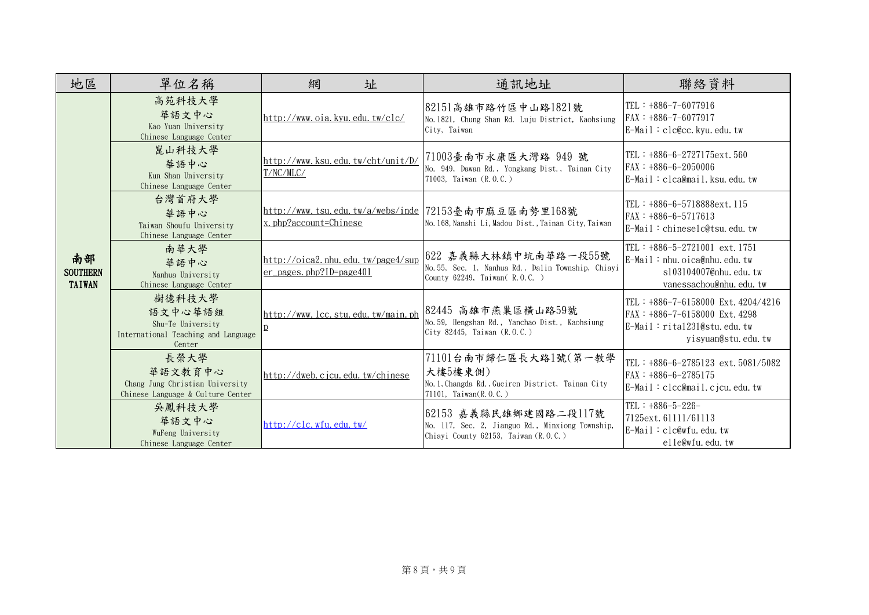| 地區                                     | 單位名稱                                                                                    | 網<br>址                                                                           | 通訊地址                                                                                                              | 聯絡資料                                                                                                                           |
|----------------------------------------|-----------------------------------------------------------------------------------------|----------------------------------------------------------------------------------|-------------------------------------------------------------------------------------------------------------------|--------------------------------------------------------------------------------------------------------------------------------|
| 南部<br><b>SOUTHERN</b><br><b>TAIWAN</b> | 高苑科技大學<br>華語文中心<br>Kao Yuan University<br>Chinese Language Center                       | http://www.oia.kvu.edu.tw/clc/                                                   | 82151高雄市路竹區中山路1821號<br>No. 1821, Chung Shan Rd. Luju District, Kaohsiung<br>City, Taiwan                          | TEL : $+886-7-6077916$<br>FAX: +886-7-6077917<br>$E-Mail : clc@cc.$ kyu. edu. tw                                               |
|                                        | 崑山科技大學<br>華語中心<br>Kun Shan University<br>Chinese Language Center                        | http://www.ksu.edu.tw/cht/unit/D/<br>T/NC/MLC/                                   | 71003臺南市永康區大灣路 949 號<br>No. 949, Dawan Rd., Yongkang Dist., Tainan City<br>71003, Taiwan (R.O.C.)                 | TEL: $+886-6-2727175ext.560$<br>$FAX : +886-6-2050006$<br>E-Mail: clca@mail.ksu.edu.tw                                         |
|                                        | 台灣首府大學<br>華語中心<br>Taiwan Shoufu University<br>Chinese Language Center                   | http://www.tsu.edu.tw/a/webs/inde 72153臺南市麻豆區南勢里168號<br>$x.$ php?account=Chinese | No. 168, Nanshi Li, Madou Dist., Tainan City, Taiwan                                                              | TEL: +886-6-5718888ext.115<br>$FAX : +886-6-5717613$<br>E-Mail: chineselc@tsu.edu.tw                                           |
|                                        | 南華大學<br>華語中心<br>Nanhua University<br>Chinese Language Center                            | http://oica2.nhu.edu.tw/page4/sup<br>$er$ pages, php?ID=page401                  | 622 嘉義縣大林鎮中坑南華路一段55號<br>No. 55, Sec. 1, Nanhua Rd., Dalin Township, Chiayi<br>County 62249, Taiwan (R.O.C.)       | TEL: $+886-5-2721001$ ext. 1751<br>$E-Mail:nhu. oica@nhu.edu. tw$<br>s103104007@nhu.edu.tw<br>vanessachou@nhu.edu.tw           |
|                                        | 樹德科技大學<br>語文中心華語組<br>Shu-Te University<br>International Teaching and Language<br>Center | http://www.lcc.stu.edu.tw/main.ph                                                | 82445 高雄市燕巢區橫山路59號<br>No. 59, Hengshan Rd., Yanchao Dist., Kaohsiung<br>City 82445, Taiwan (R.O.C.)               | TEL: +886-7-6158000 Ext. 4204/4216<br>FAX: +886-7-6158000 Ext. 4298<br>$E-Mail : rital231@stu$ , edu, tw<br>yisyuan@stu.edu.tw |
|                                        | 長榮大學<br>華語文教育中心<br>Chang Jung Christian University<br>Chinese Language & Culture Center | http://dweb.cjcu.edu.tw/chinese                                                  | 71101台南市歸仁區長大路1號(第一教學<br>大樓5樓東側)<br>No. 1, Changda Rd., Gueiren District, Tainan City<br>71101, Taiwan(R.O.C.)    | TEL : $+886-6-2785123$ ext. 5081/5082<br>$FAX : +886-6-2785175$<br>$E-Mail : clcc@mail.cicu. edu. tw$                          |
|                                        | 吳鳳科技大學<br>華語文中心<br>WuFeng University<br>Chinese Language Center                         | http://clc.wfu.edu.tw/                                                           | 62153 嘉義縣民雄鄉建國路二段117號<br>No. 117, Sec. 2, Jianguo Rd., Minxiong Township,<br>Chiayi County 62153, Taiwan (R.O.C.) | TEL: $+886-5-226-$<br>7125ext. 61111/61113<br>$E-Mail : clc@wfu$ . edu. tw<br>elle@wfu.edu.tw                                  |